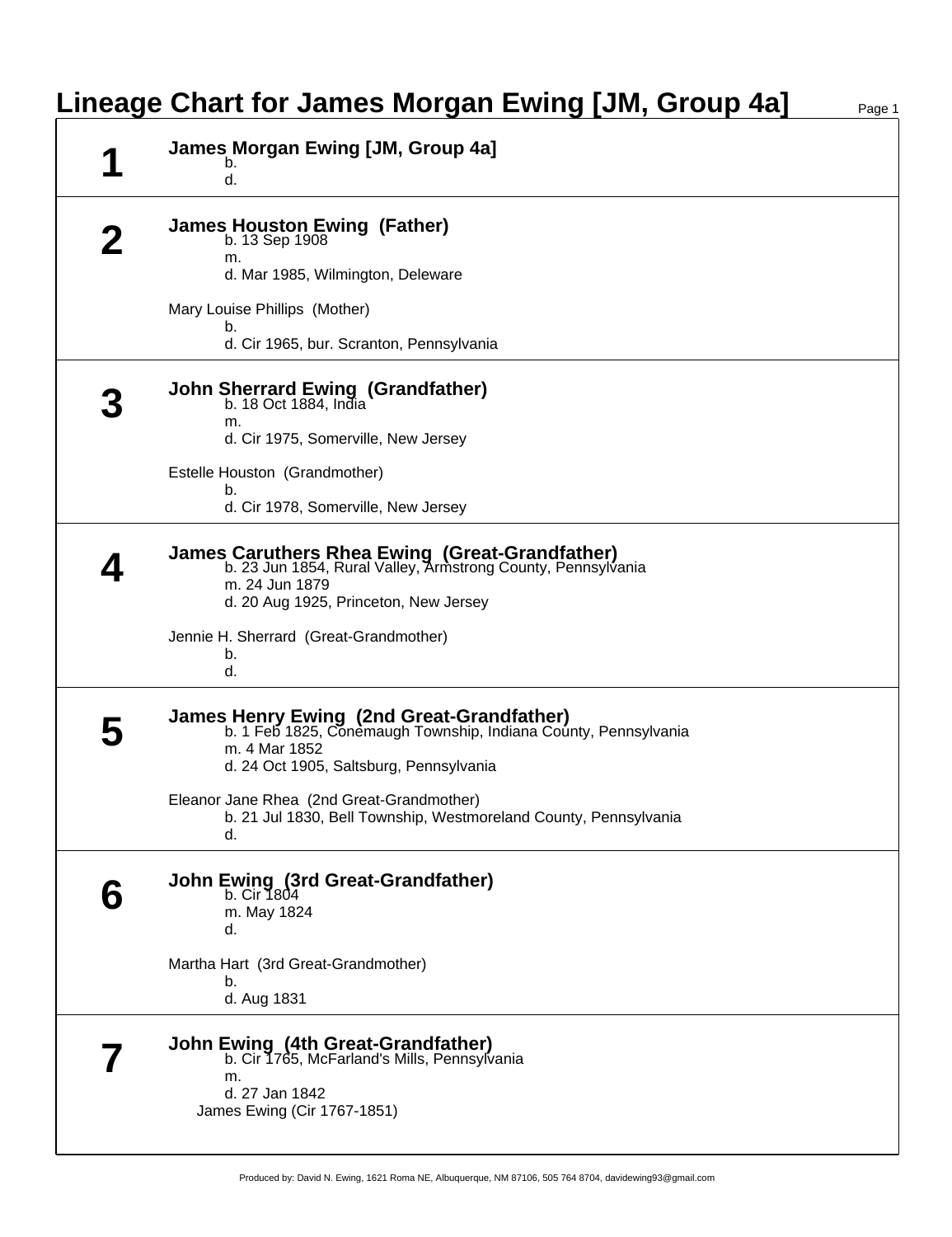## **Lineage Chart for James Morgan Ewing [JM, Group 4a]** Page 1

| James Morgan Ewing [JM, Group 4a]<br>b.<br>d.                                                                                                                             |
|---------------------------------------------------------------------------------------------------------------------------------------------------------------------------|
| <b>James Houston Ewing (Father)</b><br>b. 13 Sep 1908<br>m.<br>d. Mar 1985, Wilmington, Deleware                                                                          |
| Mary Louise Phillips (Mother)<br>b.<br>d. Cir 1965, bur. Scranton, Pennsylvania                                                                                           |
| John Sherrard Ewing (Grandfather)<br>b. 18 Oct 1884, India<br>m.<br>d. Cir 1975, Somerville, New Jersey                                                                   |
| Estelle Houston (Grandmother)<br>b.<br>d. Cir 1978, Somerville, New Jersey                                                                                                |
| James Caruthers Rhea Ewing (Great-Grandfather)<br>b. 23 Jun 1854, Rural Valley, Armstrong County, Pennsylvania<br>m. 24 Jun 1879<br>d. 20 Aug 1925, Princeton, New Jersey |
| Jennie H. Sherrard (Great-Grandmother)<br>b.<br>d.                                                                                                                        |
| James Henry Ewing (2nd Great-Grandfather)<br>b. 1 Feb 1825, Conemaugh Township, Indiana County, Pennsylvania<br>m. 4 Mar 1852<br>d. 24 Oct 1905, Saltsburg, Pennsylvania  |
| Eleanor Jane Rhea (2nd Great-Grandmother)<br>b. 21 Jul 1830, Bell Township, Westmoreland County, Pennsylvania<br>d.                                                       |
| John Ewing (3rd Great-Grandfather)<br>b. Cir 1804<br>m. May 1824<br>d.                                                                                                    |
| Martha Hart (3rd Great-Grandmother)<br>b.<br>d. Aug 1831                                                                                                                  |
| <b>John Ewing (4th Great-Grandfather)</b><br>b. Cir 1765, McFarland's Mills, Pennsylvania<br>m.<br>d. 27 Jan 1842<br>James Ewing (Cir 1767-1851)                          |

Produced by: David N. Ewing, 1621 Roma NE, Albuquerque, NM 87106, 505 764 8704, davidewing93@gmail.com